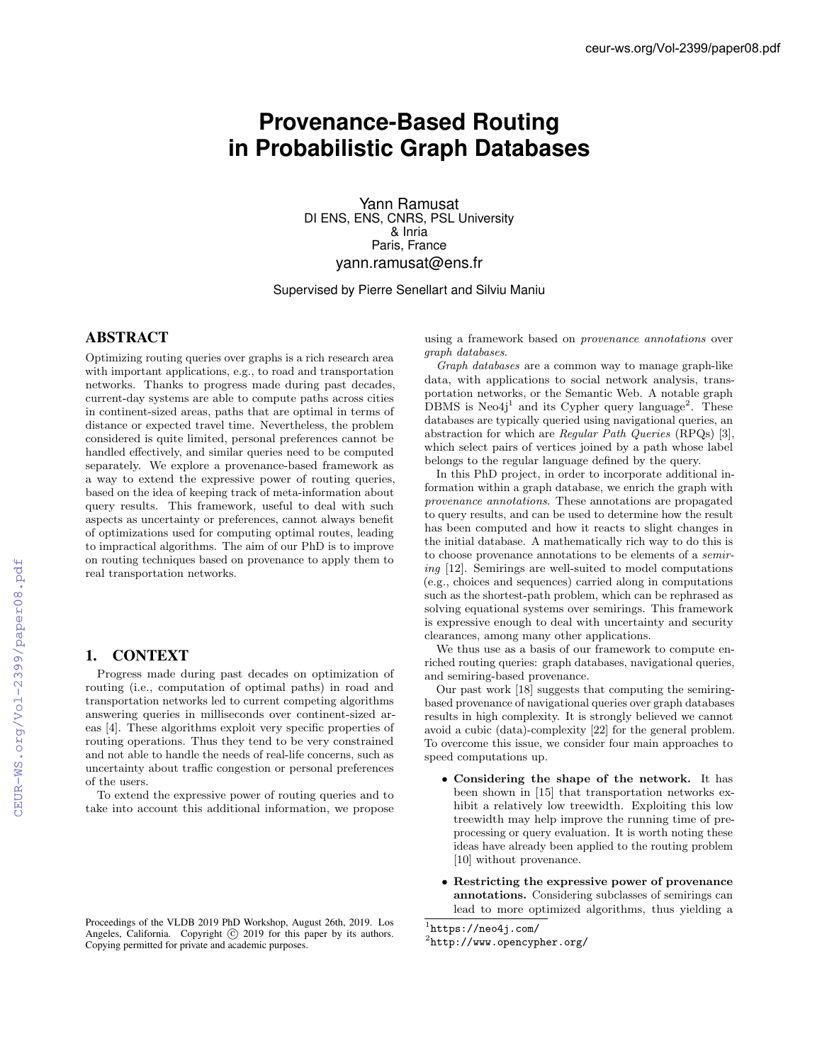# **Provenance-Based Routing in Probabilistic Graph Databases**

Yann Ramusat DI ENS, ENS, CNRS, PSL University & Inria Paris, France yann.ramusat@ens.fr

Supervised by Pierre Senellart and Silviu Maniu

# ABSTRACT

Optimizing routing queries over graphs is a rich research area with important applications, e.g., to road and transportation networks. Thanks to progress made during past decades, current-day systems are able to compute paths across cities in continent-sized areas, paths that are optimal in terms of distance or expected travel time. Nevertheless, the problem considered is quite limited, personal preferences cannot be handled effectively, and similar queries need to be computed separately. We explore a provenance-based framework as a way to extend the expressive power of routing queries, based on the idea of keeping track of meta-information about query results. This framework, useful to deal with such aspects as uncertainty or preferences, cannot always benefit of optimizations used for computing optimal routes, leading to impractical algorithms. The aim of our PhD is to improve on routing techniques based on provenance to apply them to real transportation networks.

# 1. CONTEXT

Progress made during past decades on optimization of routing (i.e., computation of optimal paths) in road and transportation networks led to current competing algorithms answering queries in milliseconds over continent-sized areas [4]. These algorithms exploit very specific properties of routing operations. Thus they tend to be very constrained and not able to handle the needs of real-life concerns, such as uncertainty about traffic congestion or personal preferences of the users.

To extend the expressive power of routing queries and to take into account this additional information, we propose using a framework based on *provenance annotations* over *graph databases*.

*Graph databases* are a common way to manage graph-like data, with applications to social network analysis, transportation networks, or the Semantic Web. A notable graph  $DBMS$  is Neo4j<sup>1</sup> and its Cypher query language<sup>2</sup>. These databases are typically queried using navigational queries, an abstraction for which are *Regular Path Queries* (RPQs) [3], which select pairs of vertices joined by a path whose label belongs to the regular language defined by the query.

In this PhD project, in order to incorporate additional information within a graph database, we enrich the graph with *provenance annotations*. These annotations are propagated to query results, and can be used to determine how the result has been computed and how it reacts to slight changes in the initial database. A mathematically rich way to do this is to choose provenance annotations to be elements of a *semiring* [12]. Semirings are well-suited to model computations (e.g., choices and sequences) carried along in computations such as the shortest-path problem, which can be rephrased as solving equational systems over semirings. This framework is expressive enough to deal with uncertainty and security clearances, among many other applications.

We thus use as a basis of our framework to compute enriched routing queries: graph databases, navigational queries, and semiring-based provenance.

Our past work [18] suggests that computing the semiringbased provenance of navigational queries over graph databases results in high complexity. It is strongly believed we cannot avoid a cubic (data)-complexity [22] for the general problem. To overcome this issue, we consider four main approaches to speed computations up.

- *•* Considering the shape of the network. It has been shown in [15] that transportation networks exhibit a relatively low treewidth. Exploiting this low treewidth may help improve the running time of preprocessing or query evaluation. It is worth noting these ideas have already been applied to the routing problem [10] without provenance.
- *•* Restricting the expressive power of provenance annotations. Considering subclasses of semirings can lead to more optimized algorithms, thus yielding a

<sup>1</sup>https://neo4j.com/  $2$ http://www.opencypher.org/

Proceedings of the VLDB 2019 PhD Workshop, August 26th, 2019. Los Angeles, California. Copyright  $\odot$  2019 for this paper by its authors. Copying permitted for private and academic purposes.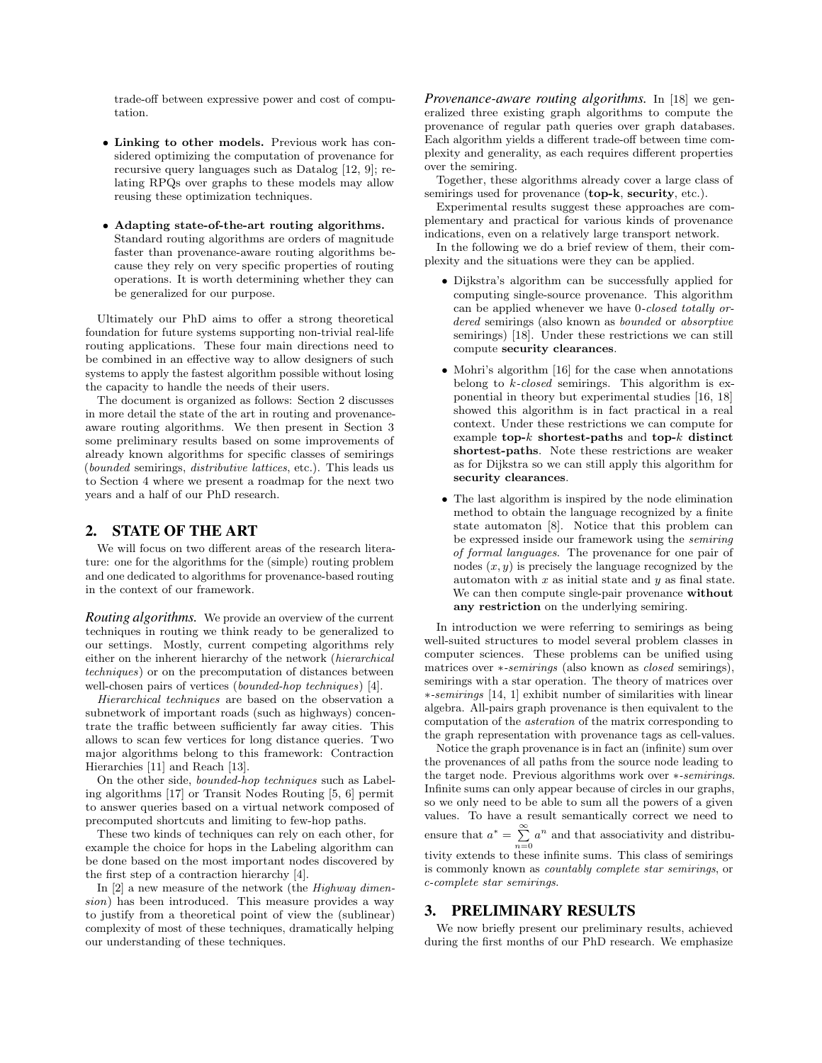trade-off between expressive power and cost of computation.

- *•* Linking to other models. Previous work has considered optimizing the computation of provenance for recursive query languages such as Datalog [12, 9]; relating RPQs over graphs to these models may allow reusing these optimization techniques.
- *•* Adapting state-of-the-art routing algorithms. Standard routing algorithms are orders of magnitude faster than provenance-aware routing algorithms because they rely on very specific properties of routing operations. It is worth determining whether they can be generalized for our purpose.

Ultimately our PhD aims to offer a strong theoretical foundation for future systems supporting non-trivial real-life routing applications. These four main directions need to be combined in an effective way to allow designers of such systems to apply the fastest algorithm possible without losing the capacity to handle the needs of their users.

The document is organized as follows: Section 2 discusses in more detail the state of the art in routing and provenanceaware routing algorithms. We then present in Section 3 some preliminary results based on some improvements of already known algorithms for specific classes of semirings (*bounded* semirings, *distributive lattices*, etc.). This leads us to Section 4 where we present a roadmap for the next two years and a half of our PhD research.

# 2. STATE OF THE ART

We will focus on two different areas of the research literature: one for the algorithms for the (simple) routing problem and one dedicated to algorithms for provenance-based routing in the context of our framework.

*Routing algorithms.* We provide an overview of the current techniques in routing we think ready to be generalized to our settings. Mostly, current competing algorithms rely either on the inherent hierarchy of the network (*hierarchical techniques*) or on the precomputation of distances between well-chosen pairs of vertices (*bounded-hop techniques*) [4].

*Hierarchical techniques* are based on the observation a subnetwork of important roads (such as highways) concentrate the traffic between sufficiently far away cities. This allows to scan few vertices for long distance queries. Two major algorithms belong to this framework: Contraction Hierarchies [11] and Reach [13].

On the other side, *bounded-hop techniques* such as Labeling algorithms [17] or Transit Nodes Routing [5, 6] permit to answer queries based on a virtual network composed of precomputed shortcuts and limiting to few-hop paths.

These two kinds of techniques can rely on each other, for example the choice for hops in the Labeling algorithm can be done based on the most important nodes discovered by the first step of a contraction hierarchy [4].

In [2] a new measure of the network (the *Highway dimension*) has been introduced. This measure provides a way to justify from a theoretical point of view the (sublinear) complexity of most of these techniques, dramatically helping our understanding of these techniques.

*Provenance-aware routing algorithms.* In [18] we generalized three existing graph algorithms to compute the provenance of regular path queries over graph databases. Each algorithm yields a different trade-off between time complexity and generality, as each requires different properties over the semiring.

Together, these algorithms already cover a large class of semirings used for provenance (top-k, security, etc.).

Experimental results suggest these approaches are complementary and practical for various kinds of provenance indications, even on a relatively large transport network.

In the following we do a brief review of them, their complexity and the situations were they can be applied.

- *•* Dijkstra's algorithm can be successfully applied for computing single-source provenance. This algorithm can be applied whenever we have 0*-closed totally ordered* semirings (also known as *bounded* or *absorptive* semirings) [18]. Under these restrictions we can still compute security clearances.
- *•* Mohri's algorithm [16] for the case when annotations belong to *k-closed* semirings. This algorithm is exponential in theory but experimental studies [16, 18] showed this algorithm is in fact practical in a real context. Under these restrictions we can compute for example top-*k* shortest-paths and top-*k* distinct shortest-paths. Note these restrictions are weaker as for Dijkstra so we can still apply this algorithm for security clearances.
- *•* The last algorithm is inspired by the node elimination method to obtain the language recognized by a finite state automaton [8]. Notice that this problem can be expressed inside our framework using the *semiring of formal languages*. The provenance for one pair of nodes (*x, y*) is precisely the language recognized by the automaton with *x* as initial state and *y* as final state. We can then compute single-pair provenance without any restriction on the underlying semiring.

In introduction we were referring to semirings as being well-suited structures to model several problem classes in computer sciences. These problems can be unified using matrices over  $*$ -semirings (also known as *closed* semirings), semirings with a star operation. The theory of matrices over ⇤*-semirings* [14, 1] exhibit number of similarities with linear algebra. All-pairs graph provenance is then equivalent to the computation of the *asteration* of the matrix corresponding to the graph representation with provenance tags as cell-values.

Notice the graph provenance is in fact an (infinite) sum over the provenances of all paths from the source node leading to the target node. Previous algorithms work over \*-semirings. Infinite sums can only appear because of circles in our graphs, so we only need to be able to sum all the powers of a given values. To have a result semantically correct we need to ensure that  $a^* = \sum_{n=1}^{\infty} a^n$  $\sum_{n=0} a^n$  and that associativity and distributivity extends to these infinite sums. This class of semirings is commonly known as *countably complete star semirings*, or *c-complete star semirings*.

#### 3. PRELIMINARY RESULTS

We now briefly present our preliminary results, achieved during the first months of our PhD research. We emphasize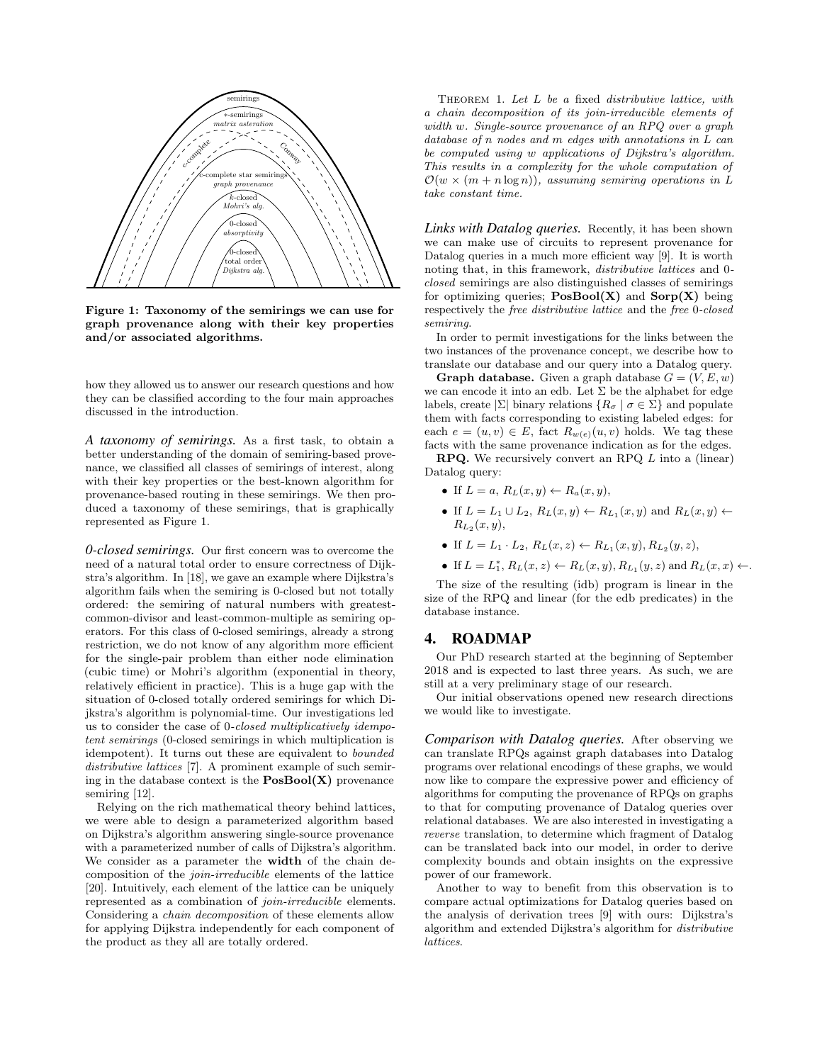

Figure 1: Taxonomy of the semirings we can use for graph provenance along with their key properties and/or associated algorithms.

how they allowed us to answer our research questions and how they can be classified according to the four main approaches discussed in the introduction.

*A taxonomy of semirings.* As a first task, to obtain a better understanding of the domain of semiring-based provenance, we classified all classes of semirings of interest, along with their key properties or the best-known algorithm for provenance-based routing in these semirings. We then produced a taxonomy of these semirings, that is graphically represented as Figure 1.

*0-closed semirings.* Our first concern was to overcome the need of a natural total order to ensure correctness of Dijkstra's algorithm. In [18], we gave an example where Dijkstra's algorithm fails when the semiring is 0-closed but not totally ordered: the semiring of natural numbers with greatestcommon-divisor and least-common-multiple as semiring operators. For this class of 0-closed semirings, already a strong restriction, we do not know of any algorithm more efficient for the single-pair problem than either node elimination (cubic time) or Mohri's algorithm (exponential in theory, relatively efficient in practice). This is a huge gap with the situation of 0-closed totally ordered semirings for which Dijkstra's algorithm is polynomial-time. Our investigations led us to consider the case of 0*-closed multiplicatively idempotent semirings* (0-closed semirings in which multiplication is idempotent). It turns out these are equivalent to *bounded distributive lattices* [7]. A prominent example of such semiring in the database context is the  $PosBool(X)$  provenance semiring [12].

Relying on the rich mathematical theory behind lattices, we were able to design a parameterized algorithm based on Dijkstra's algorithm answering single-source provenance with a parameterized number of calls of Dijkstra's algorithm. We consider as a parameter the width of the chain decomposition of the *join-irreducible* elements of the lattice [20]. Intuitively, each element of the lattice can be uniquely represented as a combination of *join-irreducible* elements. Considering a *chain decomposition* of these elements allow for applying Dijkstra independently for each component of the product as they all are totally ordered.

Theorem 1. *Let L be a* fixed *distributive lattice, with a chain decomposition of its join-irreducible elements of width w. Single-source provenance of an RPQ over a graph database of n nodes and m edges with annotations in L can be computed using w applications of Dijkstra's algorithm. This results in a complexity for the whole computation of*  $\mathcal{O}(w \times (m + n \log n))$ , assuming semiring operations in L *take constant time.*

*Links with Datalog queries.* Recently, it has been shown we can make use of circuits to represent provenance for Datalog queries in a much more efficient way  $[9]$ . It is worth noting that, in this framework, *distributive lattices* and 0 *closed* semirings are also distinguished classes of semirings for optimizing queries;  $PosBool(X)$  and  $Sorp(X)$  being respectively the *free distributive lattice* and the *free* 0*-closed semiring*.

In order to permit investigations for the links between the two instances of the provenance concept, we describe how to translate our database and our query into a Datalog query.

**Graph database.** Given a graph database  $G = (V, E, w)$ we can encode it into an edb. Let  $\Sigma$  be the alphabet for edge labels, create  $|\Sigma|$  binary relations  $\{R_{\sigma} \mid \sigma \in \Sigma\}$  and populate them with facts corresponding to existing labeled edges: for each  $e = (u, v) \in E$ , fact  $R_{w(e)}(u, v)$  holds. We tag these facts with the same provenance indication as for the edges.

RPQ. We recursively convert an RPQ *L* into a (linear) Datalog query:

- If  $L = a$ ,  $R_L(x, y) \leftarrow R_a(x, y)$ ,
- If  $L = L_1 \cup L_2$ ,  $R_L(x, y) \leftarrow R_{L_1}(x, y)$  and  $R_L(x, y) \leftarrow$ *R<sup>L</sup>*<sup>2</sup> (*x, y*),
- If  $L = L_1 \cdot L_2$ ,  $R_L(x, z) \leftarrow R_{L_1}(x, y), R_{L_2}(y, z)$ ,
- If  $L = L_1^*, R_L(x, z) \leftarrow R_L(x, y), R_{L_1}(y, z)$  and  $R_L(x, x) \leftarrow$ .

The size of the resulting (idb) program is linear in the size of the RPQ and linear (for the edb predicates) in the database instance.

## 4. ROADMAP

Our PhD research started at the beginning of September 2018 and is expected to last three years. As such, we are still at a very preliminary stage of our research.

Our initial observations opened new research directions we would like to investigate.

*Comparison with Datalog queries.* After observing we can translate RPQs against graph databases into Datalog programs over relational encodings of these graphs, we would now like to compare the expressive power and efficiency of algorithms for computing the provenance of RPQs on graphs to that for computing provenance of Datalog queries over relational databases. We are also interested in investigating a *reverse* translation, to determine which fragment of Datalog can be translated back into our model, in order to derive complexity bounds and obtain insights on the expressive power of our framework.

Another to way to benefit from this observation is to compare actual optimizations for Datalog queries based on the analysis of derivation trees [9] with ours: Dijkstra's algorithm and extended Dijkstra's algorithm for *distributive lattices*.